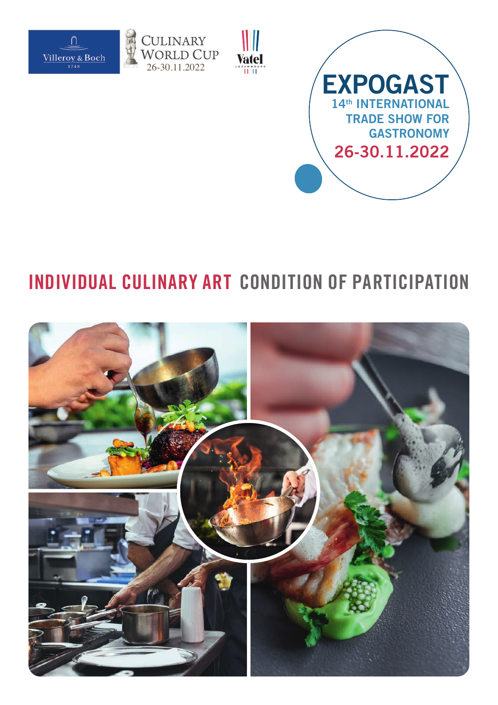







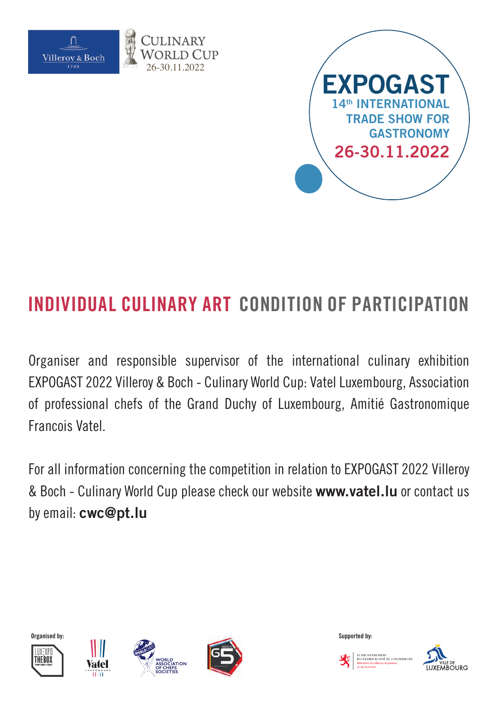



Organiser and responsible supervisor of the international culinary exhibition EXPOGAST 2022 Villeroy & Boch - Culinary World Cup: Vatel Luxembourg, Association of professional chefs of the Grand Duchy of Luxembourg, Amitié Gastronomique Francois Vatel.

For all information concerning the competition in relation to EXPOGAST 2022 Villeroy & Boch - Culinary World Cup please check our website **www.vatel.lu** or contact us by email: **cwc@pt.lu**













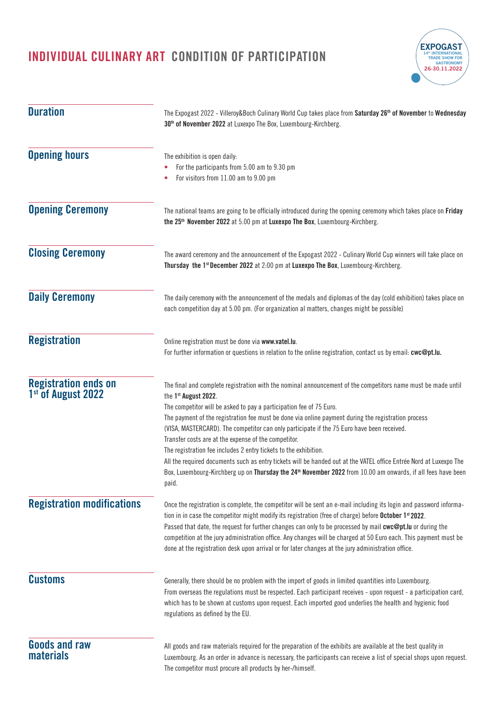

| <b>Duration</b>                                               | The Expogast 2022 - Villeroy&Boch Culinary World Cup takes place from Saturday 26 <sup>th</sup> of November to Wednesday<br>30 <sup>th</sup> of November 2022 at Luxexpo The Box, Luxembourg-Kirchberg.                                                                                                                                                                                                                                                                                                                                                                                                                                                                                                                                                                                                 |  |  |  |  |
|---------------------------------------------------------------|---------------------------------------------------------------------------------------------------------------------------------------------------------------------------------------------------------------------------------------------------------------------------------------------------------------------------------------------------------------------------------------------------------------------------------------------------------------------------------------------------------------------------------------------------------------------------------------------------------------------------------------------------------------------------------------------------------------------------------------------------------------------------------------------------------|--|--|--|--|
| <b>Opening hours</b>                                          | The exhibition is open daily:<br>For the participants from 5.00 am to 9.30 pm<br>For visitors from 11.00 am to 9.00 pm                                                                                                                                                                                                                                                                                                                                                                                                                                                                                                                                                                                                                                                                                  |  |  |  |  |
| <b>Opening Ceremony</b>                                       | The national teams are going to be officially introduced during the opening ceremony which takes place on Friday<br>the 25 <sup>th</sup> November 2022 at 5.00 pm at Luxexpo The Box, Luxembourg-Kirchberg.                                                                                                                                                                                                                                                                                                                                                                                                                                                                                                                                                                                             |  |  |  |  |
| <b>Closing Ceremony</b>                                       | The award ceremony and the announcement of the Expogast 2022 - Culinary World Cup winners will take place on<br>Thursday the 1st December 2022 at 2:00 pm at Luxexpo The Box, Luxembourg-Kirchberg.                                                                                                                                                                                                                                                                                                                                                                                                                                                                                                                                                                                                     |  |  |  |  |
| <b>Daily Ceremony</b>                                         | The daily ceremony with the announcement of the medals and diplomas of the day (cold exhibition) takes place on<br>each competition day at 5.00 pm. (For organization al matters, changes might be possible)                                                                                                                                                                                                                                                                                                                                                                                                                                                                                                                                                                                            |  |  |  |  |
| <b>Registration</b>                                           | Online registration must be done via www.vatel.lu.<br>For further information or questions in relation to the online registration, contact us by email: cwc@pt.lu.                                                                                                                                                                                                                                                                                                                                                                                                                                                                                                                                                                                                                                      |  |  |  |  |
| <b>Registration ends on</b><br>1 <sup>st</sup> of August 2022 | The final and complete registration with the nominal announcement of the competitors name must be made until<br>the 1st August 2022.<br>The competitor will be asked to pay a participation fee of 75 Euro.<br>The payment of the registration fee must be done via online payment during the registration process<br>(VISA, MASTERCARD). The competitor can only participate if the 75 Euro have been received.<br>Transfer costs are at the expense of the competitor.<br>The registration fee includes 2 entry tickets to the exhibition.<br>All the required documents such as entry tickets will be handed out at the VATEL office Entrée Nord at Luxexpo The<br>Box, Luxembourg-Kirchberg up on Thursday the 24 <sup>th</sup> November 2022 from 10.00 am onwards, if all fees have been<br>paid. |  |  |  |  |
| <b>Registration modifications</b>                             | Once the registration is complete, the competitor will be sent an e-mail including its login and password informa-<br>tion in in case the competitor might modify its registration (free of charge) before October 1 <sup>st</sup> 2022.<br>Passed that date, the request for further changes can only to be processed by mail cwc@pt.lu or during the<br>competition at the jury administration office. Any changes will be charged at 50 Euro each. This payment must be<br>done at the registration desk upon arrival or for later changes at the jury administration office.                                                                                                                                                                                                                        |  |  |  |  |
| <b>Customs</b>                                                | Generally, there should be no problem with the import of goods in limited quantities into Luxembourg.<br>From overseas the regulations must be respected. Each participant receives - upon request - a participation card,<br>which has to be shown at customs upon request. Each imported good underlies the health and hygienic food<br>regulations as defined by the EU.                                                                                                                                                                                                                                                                                                                                                                                                                             |  |  |  |  |
| <b>Goods and raw</b><br><b>materials</b>                      | All goods and raw materials required for the preparation of the exhibits are available at the best quality in<br>Luxembourg. As an order in advance is necessary, the participants can receive a list of special shops upon request.<br>The competitor must procure all products by her-/himself.                                                                                                                                                                                                                                                                                                                                                                                                                                                                                                       |  |  |  |  |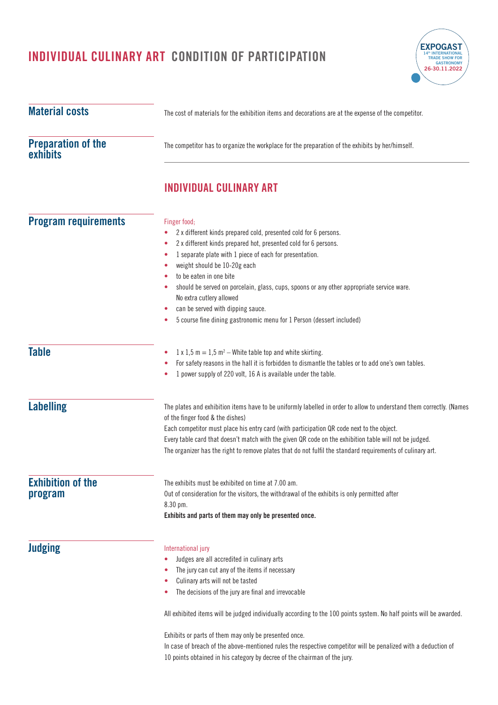

| <b>Material costs</b>                        | The cost of materials for the exhibition items and decorations are at the expense of the competitor.                                                                                                                                                                                                                                                                                                                                                                                                                                      |  |  |  |
|----------------------------------------------|-------------------------------------------------------------------------------------------------------------------------------------------------------------------------------------------------------------------------------------------------------------------------------------------------------------------------------------------------------------------------------------------------------------------------------------------------------------------------------------------------------------------------------------------|--|--|--|
| <b>Preparation of the</b><br><b>exhibits</b> | The competitor has to organize the workplace for the preparation of the exhibits by her/himself.                                                                                                                                                                                                                                                                                                                                                                                                                                          |  |  |  |
|                                              | INDIVIDUAL CULINARY ART                                                                                                                                                                                                                                                                                                                                                                                                                                                                                                                   |  |  |  |
| <b>Program requirements</b>                  | Finger food;<br>2 x different kinds prepared cold, presented cold for 6 persons.<br>۰<br>2 x different kinds prepared hot, presented cold for 6 persons.<br>٠<br>1 separate plate with 1 piece of each for presentation.<br>۰<br>weight should be 10-20g each<br>٠<br>to be eaten in one bite<br>should be served on porcelain, glass, cups, spoons or any other appropriate service ware.<br>No extra cutlery allowed<br>can be served with dipping sauce.<br>5 course fine dining gastronomic menu for 1 Person (dessert included)<br>۰ |  |  |  |
| <b>Table</b>                                 | $1 \times 1.5$ m = 1.5 m <sup>2</sup> – White table top and white skirting.<br>۰<br>For safety reasons in the hall it is forbidden to dismantle the tables or to add one's own tables.<br>٠<br>1 power supply of 220 volt, 16 A is available under the table.                                                                                                                                                                                                                                                                             |  |  |  |
| <b>Labelling</b>                             | The plates and exhibition items have to be uniformly labelled in order to allow to understand them correctly. (Names<br>of the finger food & the dishes)<br>Each competitor must place his entry card (with participation QR code next to the object.<br>Every table card that doesn't match with the given QR code on the exhibition table will not be judged.<br>The organizer has the right to remove plates that do not fulfil the standard requirements of culinary art.                                                             |  |  |  |
| <b>Exhibition of the</b><br>program          | The exhibits must be exhibited on time at 7.00 am.<br>Out of consideration for the visitors, the withdrawal of the exhibits is only permitted after<br>8.30 pm.<br>Exhibits and parts of them may only be presented once.                                                                                                                                                                                                                                                                                                                 |  |  |  |
| <b>Judging</b>                               | International jury<br>Judges are all accredited in culinary arts<br>۰<br>The jury can cut any of the items if necessary<br>٠<br>Culinary arts will not be tasted<br>The decisions of the jury are final and irrevocable<br>۰<br>All exhibited items will be judged individually according to the 100 points system. No half points will be awarded.<br>Exhibits or parts of them may only be presented once.                                                                                                                              |  |  |  |
|                                              | In case of breach of the above-mentioned rules the respective competitor will be penalized with a deduction of<br>10 points obtained in his category by decree of the chairman of the jury.                                                                                                                                                                                                                                                                                                                                               |  |  |  |